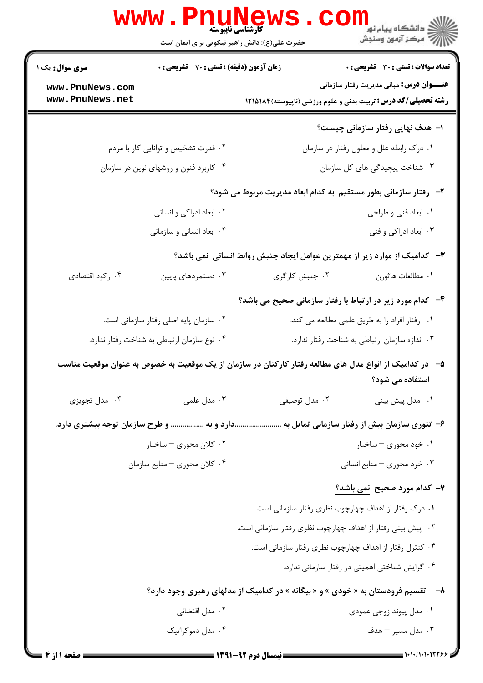|                                                                                   | <b>WWW</b><br>Phune<br>حضرت علی(ع): دانش راهبر نیکویی برای ایمان است          | <b>کارشناسی ناپیوسته</b>                                                                                | راد دانشگاه پيام نور <mark>−</mark><br>ار⊂مرکز آزمون وسنجش                 |  |
|-----------------------------------------------------------------------------------|-------------------------------------------------------------------------------|---------------------------------------------------------------------------------------------------------|----------------------------------------------------------------------------|--|
| زمان آزمون (دقیقه) : تستی : 70 ٪ تشریحی : 0<br><b>سری سوال :</b> یک ۱             |                                                                               |                                                                                                         | <b>تعداد سوالات : تستی : 30 - تشریحی : 0</b>                               |  |
| www.PnuNews.com<br>www.PnuNews.net                                                |                                                                               | <b>رشته تحصیلی/کد درس:</b> تربیت بدنی و علوم ورزشی (ناپیوسته)۱۸۱۵۱۸۴                                    | <b>عنـــوان درس:</b> مبانی مدیریت رفتار سازمانی                            |  |
|                                                                                   |                                                                               |                                                                                                         |                                                                            |  |
|                                                                                   |                                                                               |                                                                                                         | ۱– هدف نهایی رفتار سازمانی چیست؟                                           |  |
|                                                                                   | ۰۲ قدرت تشخیص و توانایی کار با مردم<br>۰۴ کاربرد فنون و روشهای نوین در سازمان |                                                                                                         | ۰۱ درک رابطه علل و معلول رفتار در سازمان<br>۰۳ شناخت پیچیدگی های کل سازمان |  |
|                                                                                   |                                                                               |                                                                                                         |                                                                            |  |
| ۲–۔رفتار سازمانی بطور مستقیم به کدام ابعاد مدیریت مربوط می شود؟                   |                                                                               |                                                                                                         |                                                                            |  |
|                                                                                   | ۰۲ ابعاد ادراکی و انسانی                                                      |                                                                                                         | ۰۱ ابعاد فنی و طراحی                                                       |  |
|                                                                                   | ۰۴ ابعاد انسانی و سازمانی                                                     |                                                                                                         | ۰۳ ابعاد ادراکی و فنی                                                      |  |
| <b>۳</b> - کدامیک از موارد زیر از مهمترین عوامل ایجاد جنبش روابط انسانی نمی باشد؟ |                                                                               |                                                                                                         |                                                                            |  |
| ۰۴ رکود اقتصادی                                                                   | ۰۳ دستمزدهای پایین                                                            | ۰۲ جنبش کارگری                                                                                          | ٠١. مطالعات هاثورن                                                         |  |
|                                                                                   |                                                                               | ۴-۔ کدام مورد زیر در ارتباط با رفتار سازمانی صحیح می باشد؟                                              |                                                                            |  |
|                                                                                   | ۰۲ سازمان پایه اصلی رفتار سازمانی است.                                        | ۰۱ رفتار افراد را به طریق علمی مطالعه می کند.                                                           |                                                                            |  |
| ۰۴ نوع سازمان ارتباطی به شناخت رفتار ندارد.                                       |                                                                               | ۰۳ اندازه سازمان ارتباطی به شناخت رفتار ندارد.                                                          |                                                                            |  |
|                                                                                   |                                                                               | ۵– در کدامیک از انواع مدل های مطالعه رفتار کارکنان در سازمان از یک موقعیت به خصوص به عنوان موقعیت مناسب | استفاده می شود؟                                                            |  |
| ۰۴ مدل تجویزی                                                                     | ۰۳ مدل علمی                                                                   | ۰۲ مدل توصیفی                                                                                           | ۰۱ مدل پیش بینی                                                            |  |
|                                                                                   | دارد و به  و طرح سازمان توجه بیشتری دارد.                                     |                                                                                                         | ۶– تنوری سازمان بیش از رفتار سازمانی تمایل به                              |  |
|                                                                                   | ۰۲ کلان محوری – ساختار                                                        |                                                                                                         | ۰۱ خود محوری – ساختار                                                      |  |
|                                                                                   | ۰۴ كلان محوري – منابع سازمان                                                  |                                                                                                         | ۰۳ خرد محوری – منابع انسانی                                                |  |
|                                                                                   |                                                                               |                                                                                                         | ۷- کدام مورد صحیح نمی باشد؟                                                |  |
|                                                                                   |                                                                               | ۰۱ درک رفتار از اهداف چهارچوب نظری رفتار سازمانی است.                                                   |                                                                            |  |
|                                                                                   | ۰۲ پیش بینی رفتار از اهداف چهارچوب نظری رفتار سازمانی است.                    |                                                                                                         |                                                                            |  |
|                                                                                   |                                                                               | ۰۳ کنترل رفتار از اهداف چهارچوب نظری رفتار سازمانی است.                                                 |                                                                            |  |
|                                                                                   |                                                                               |                                                                                                         | ۰۴ گرایش شناختی اهمیتی در رفتار سازمانی ندارد.                             |  |
|                                                                                   |                                                                               | ۸–     تقسیم فرودستان به « خودی » و « بیگانه » در کدامیک از مدلهای رهبری وجود دارد؟                     |                                                                            |  |
|                                                                                   | ۰۲ مدل اقتضائی                                                                |                                                                                                         | ۰۱ مدل پیوند زوجی عمودی                                                    |  |
|                                                                                   | ۰۴ مدل دموکراتیک                                                              |                                                                                                         | ۰۳ مدل مسير - هدف                                                          |  |
|                                                                                   |                                                                               |                                                                                                         |                                                                            |  |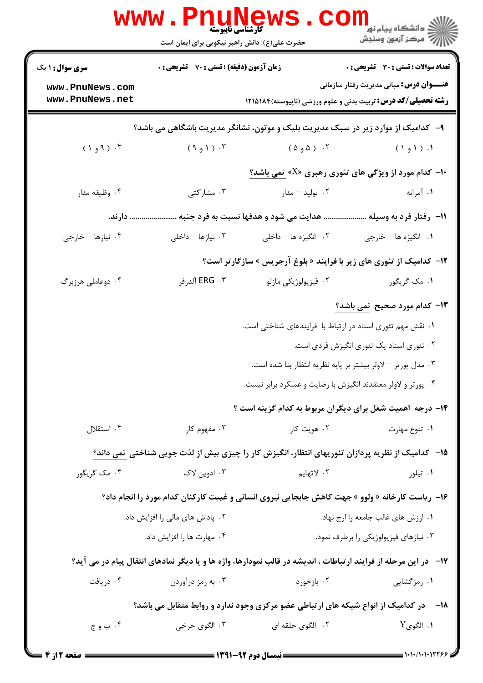|                                                                                                 | <b>کارشناسی ناپیوسته</b><br>حضرت علی(ع): دانش راهبر نیکویی برای ایمان است |                                                                                                                         | ڪ دانشڪاه پيا <sub>م</sub> نور<br><mark>√</mark> مرڪز آزمون وسنڊش |  |  |  |
|-------------------------------------------------------------------------------------------------|---------------------------------------------------------------------------|-------------------------------------------------------------------------------------------------------------------------|-------------------------------------------------------------------|--|--|--|
| <b>سری سوال : ۱ یک</b>                                                                          | زمان آزمون (دقیقه) : تستی : 70 گشریحی : 0                                 |                                                                                                                         | تعداد سوالات : تستي : 30 ٪ تشريحي : 0                             |  |  |  |
| www.PnuNews.com<br>www.PnuNews.net                                                              |                                                                           | <b>رشته تحصیلی/کد درس:</b> تربیت بدنی و علوم ورزشی (ناپیوسته)۱۲۱۵۱۸۴                                                    | <b>عنـــوان درس:</b> مبانی مدیریت رفتار سازمانی                   |  |  |  |
| ۹- کدامیک از موارد زیر در سبک مدیریت بلیک و موتون، نشانگر مدیریت باشگاهی می باشد؟               |                                                                           |                                                                                                                         |                                                                   |  |  |  |
| $(1, 9)$ . ( $P$ و $( )$                                                                        | $(9, 1)$ . ۳                                                              | ۰۲ (۵و۵)                                                                                                                | $(19)$ .                                                          |  |  |  |
|                                                                                                 |                                                                           | <b>۰۱- کدام مورد از ویژگی های تئوری رهبری «Z» نمی باشد؟</b>                                                             |                                                                   |  |  |  |
| ۰۴ وظیفه مدار                                                                                   | ۰۳ مشارکتی                                                                | ۰۲ تولید – مدار                                                                                                         | ۱. آمرانه                                                         |  |  |  |
|                                                                                                 | هدایت می شود و هدفها نسبت به فرد جنبه  دارند.                             |                                                                                                                         | 1۱– رفتار فرد به وسیله .                                          |  |  |  |
| ۰۴ نیازها - خارجی                                                                               | ۰۳ نیازها – داخلی                                                         | ۰۲ انگیزه ها – داخلی                                                                                                    | ۰۱ انگیزه ها - خارجی                                              |  |  |  |
|                                                                                                 |                                                                           | <b>۱۲</b> - کدامیک از تئوری های زیر با فرایند « بلوغ آرجریس » سازگارتر است؟                                             |                                                                   |  |  |  |
| ۰۴ دوعاملی هرزبرگ                                                                               | ERG   . ۳ آلدرفر                                                          | ۰۲ فیزیولوژیکی مازلو                                                                                                    | ۰۱ مک گريگور                                                      |  |  |  |
|                                                                                                 |                                                                           |                                                                                                                         | ۱۳- کدام مورد صحیح نمی باشد؟                                      |  |  |  |
|                                                                                                 |                                                                           | ۰۱ نقش مهم تئوری اسناد در ارتباط با فرایندهای شناختی است.                                                               |                                                                   |  |  |  |
|                                                                                                 |                                                                           |                                                                                                                         | ۰۲ تئوری اسناد یک تئوری انگیزش فردی است.                          |  |  |  |
|                                                                                                 |                                                                           | ۰۳ مدل پورتر – لاولر بیشتر بر پایه نظریه انتظار بنا شده است.                                                            |                                                                   |  |  |  |
|                                                                                                 |                                                                           | ۰۴ پورتر و لاولر معتقدند انگیزش با رضایت و عملکرد برابر نیست.                                                           |                                                                   |  |  |  |
|                                                                                                 |                                                                           | ۱۴- درجه اهمیت شغل برای دیگران مربوط به کدام گزینه است ؟                                                                |                                                                   |  |  |  |
| ۰۴ استقلال                                                                                      | ۰۳ مفهوم کار                                                              | ۰۲ هويت کار                                                                                                             | ۰۱ تنوع مهارت                                                     |  |  |  |
|                                                                                                 |                                                                           | ۱۵– کدامیک از نظریه پردازان تئوریهای انتظار، انگیزش کار را چیزی بیش از لذت جویی شناختی نمی داند؟                        |                                                                   |  |  |  |
| ۰۴ مک گریگور                                                                                    | ۰۳ ادوین لاک                                                              | ٢. لاتهايم                                                                                                              | ۰۱ تیلور                                                          |  |  |  |
| ۱۶- ریاست کارخانه « ولوو » جهت کاهش جابجایی نیروی انسانی و غیبت کارکنان کدام مورد را انجام داد؟ |                                                                           |                                                                                                                         |                                                                   |  |  |  |
|                                                                                                 | ۰۲ پاداش های مالی را افزایش داد.                                          |                                                                                                                         | ۰۱ ارزش های غالب جامعه را ارج نهاد.                               |  |  |  |
|                                                                                                 | ۰۴ مهارت ها را افزایش داد.                                                |                                                                                                                         | ۰۳ نیازهای فیزیولوژیکی را برطرف نمود.                             |  |  |  |
|                                                                                                 |                                                                           | <b>۱۷</b> - در این مرحله از فرایند ارتباطات ، اندیشه در قالب نمودارها، واژه ها و یا دیگر نمادهای انتقال پیام در می آید؟ |                                                                   |  |  |  |
| ۰۴ دریافت                                                                                       | ۰۳ به رمز درآوردن                                                         | ۰۲ بازخورد                                                                                                              | ۰۱ رمزگشایی                                                       |  |  |  |
| <b>۱۸</b> - در کدامیک از انواع شبکه های ارتباطی عضو مرکزی وجود ندارد و روابط متقابل می باشد؟    |                                                                           |                                                                                                                         |                                                                   |  |  |  |
| ۰۴ ب و ج $\cdot$                                                                                | ۰ <sup>۳</sup> الگوی چرخی                                                 | ۰۲ الگوی حلقه ای                                                                                                        | ۰۱ الگویY .                                                       |  |  |  |
|                                                                                                 |                                                                           |                                                                                                                         |                                                                   |  |  |  |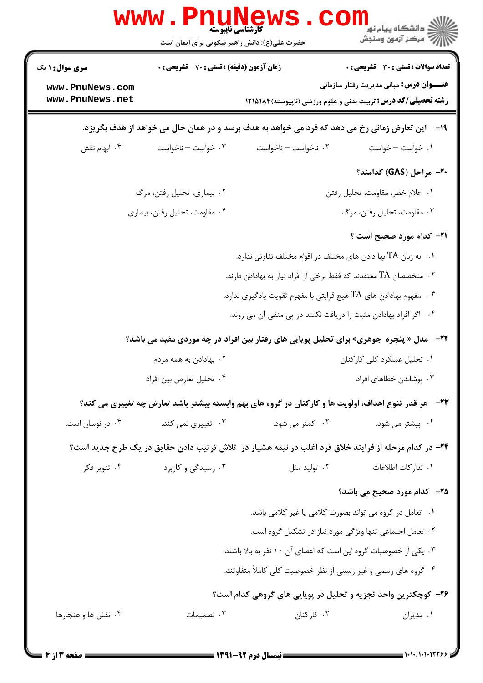|                                                                                                  | WWW . FIII<br>كارشناسي ناپيوسته<br>حضرت علی(ع): دانش راهبر نیکویی برای ایمان است                   |                                                                                                              | ≦ دانشڪاه پيام نور<br>7- مرڪز آزمون وسنڊش        |  |
|--------------------------------------------------------------------------------------------------|----------------------------------------------------------------------------------------------------|--------------------------------------------------------------------------------------------------------------|--------------------------------------------------|--|
| <b>سری سوال :</b> ۱ یک                                                                           | <b>تعداد سوالات : تستی : 30 ٪ تشریحی : 0</b><br><b>زمان آزمون (دقیقه) : تستی : 70 ٪ تشریحی : 0</b> |                                                                                                              |                                                  |  |
| www.PnuNews.com<br>www.PnuNews.net                                                               |                                                                                                    | <b>رشته تحصیلی/کد درس:</b> تربیت بدنی و علوم ورزشی (ناپیوسته) ۱۲۱۵۱۸۴                                        | <b>عنــــوان درس:</b> مبانی مدیریت رفتار سازمانی |  |
| ۱۹- داین تعارض زمانی رخ می دهد که فرد می خواهد به هدف برسد و در همان حال می خواهد از هدف بگریزد. |                                                                                                    |                                                                                                              |                                                  |  |
| ۰۴ ابهام نقش                                                                                     | ۰۳ خواست – ناخواست                                                                                 | ۰۲ ناخواست – ناخواست                                                                                         | ٠١. خواست – خواست                                |  |
|                                                                                                  |                                                                                                    |                                                                                                              | ۲۰– مراحل (GAS) کدامند؟                          |  |
|                                                                                                  | ۰۲ بیماری، تحلیل رفتن، مرگ                                                                         |                                                                                                              | ٠١. اعلام خطر، مقاومت، تحليل رفتن                |  |
|                                                                                                  | ۰۴ مقاومت، تحليل رفتن، بيماري                                                                      |                                                                                                              | ۰۳ مقاومت، تحلیل رفتن، مرگ                       |  |
|                                                                                                  |                                                                                                    |                                                                                                              | <b>٢١</b> - كدام مورد صحيح است ؟                 |  |
|                                                                                                  |                                                                                                    | ۰۱   به زبان TA بها دادن های مختلف در اقوام مختلف تفاوتی ندارد.                                              |                                                  |  |
|                                                                                                  |                                                                                                    | ۰۲ متخصصان TA معتقدند که فقط برخی از افراد نیاز به بهادادن دارند.                                            |                                                  |  |
|                                                                                                  |                                                                                                    | ۰۳ مفهوم بهادادن های $\rm{TA}$ هیچ قرابتی با مفهوم تقویت یادگیری ندارد.                                      |                                                  |  |
|                                                                                                  |                                                                                                    | ۰۴ اگر افراد بهادادن مثبت را دریافت نکنند در پی منفی آن می روند.                                             |                                                  |  |
|                                                                                                  |                                                                                                    | <b>۲۲</b> - آمدل « پنجره جوهری» برای تحلیل پویایی های رفتار بین افراد در چه موردی مفید می باشد؟              |                                                  |  |
|                                                                                                  | ۰۲ بهادادن به همه مردم                                                                             |                                                                                                              | ۰۱ تحلیل عملکرد کلی کارکنان                      |  |
|                                                                                                  | ۰۴ تحلیل تعارض بین افراد                                                                           |                                                                                                              | ۰۳ یوشاندن خطاهای افراد                          |  |
|                                                                                                  |                                                                                                    | <b>۲۳</b> - هر قدر تنوع اهداف، اولویت ها و کارکنان در گروه های بهم وابسته بیشتر باشد تعارض چه تغییری می کند؟ |                                                  |  |
| ۰۴ در نوسان است.                                                                                 | ۰۳ تغییری نمی کند.                                                                                 | ۰۲ کمتر می شود.                                                                                              | ۰۱ بیشتر می شود.                                 |  |
|                                                                                                  |                                                                                                    | ۲۴- در کدام مرحله از فرایند خلاق فرد اغلب در نیمه هشیار در آتلاش ترتیب دادن حقایق در یک طرح جدید است؟        |                                                  |  |
| ۰۴ تنویر فکر                                                                                     | ۰۳ رسیدگی و کاربرد                                                                                 | ۰۲ تولید مثل                                                                                                 | ۰۱ تدار کات اطلاعات                              |  |
|                                                                                                  |                                                                                                    |                                                                                                              | <b>۲۵</b> -۔ کدام مورد صحیح می باشد؟             |  |
|                                                                                                  |                                                                                                    | ٠١ تعامل در گروه مي تواند بصورت كلامي يا غير كلامي باشد.                                                     |                                                  |  |
|                                                                                                  |                                                                                                    | ٢. تعامل اجتماعي تنها ويژكى مورد نياز در تشكيل گروه است.                                                     |                                                  |  |
|                                                                                                  |                                                                                                    | ۰۳ یکی از خصوصیات گروه این است که اعضای آن ۱۰ نفر به بالا باشند.                                             |                                                  |  |
| ۰۴ گروه های رسمی و غیر رسمی از نظر خصوصیت کلی کاملاً متفاوتند.                                   |                                                                                                    |                                                                                                              |                                                  |  |
| ۲۶- کوچکترین واحد تجزیه و تحلیل در پویایی های گروهی کدام است؟                                    |                                                                                                    |                                                                                                              |                                                  |  |
| ۰۴ نقش ها و هنجارها                                                                              | ۰۳ تصمیمات                                                                                         | ۰۲ کارکنان                                                                                                   | ٠١ مديران                                        |  |
|                                                                                                  |                                                                                                    |                                                                                                              |                                                  |  |